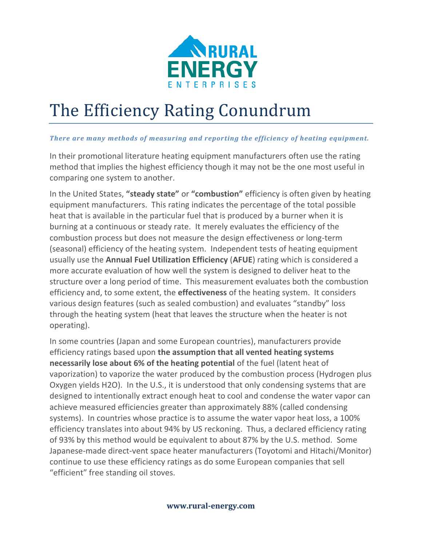

# The Efficiency Rating Conundrum

#### *There are many methods of measuring and reporting the efficiency of heating equipment.*

In their promotional literature heating equipment manufacturers often use the rating method that implies the highest efficiency though it may not be the one most useful in comparing one system to another.

In the United States, **"steady state"** or **"combustion"** efficiency is often given by heating equipment manufacturers. This rating indicates the percentage of the total possible heat that is available in the particular fuel that is produced by a burner when it is burning at a continuous or steady rate. It merely evaluates the efficiency of the combustion process but does not measure the design effectiveness or long-term (seasonal) efficiency of the heating system. Independent tests of heating equipment usually use the **Annual Fuel Utilization Efficiency** (**AFUE**) rating which is considered a more accurate evaluation of how well the system is designed to deliver heat to the structure over a long period of time. This measurement evaluates both the combustion efficiency and, to some extent, the **effectiveness** of the heating system. It considers various design features (such as sealed combustion) and evaluates "standby" loss through the heating system (heat that leaves the structure when the heater is not operating).

In some countries (Japan and some European countries), manufacturers provide efficiency ratings based upon **the assumption that all vented heating systems necessarily lose about 6% of the heating potential** of the fuel (latent heat of vaporization) to vaporize the water produced by the combustion process (Hydrogen plus Oxygen yields H2O). In the U.S., it is understood that only condensing systems that are designed to intentionally extract enough heat to cool and condense the water vapor can achieve measured efficiencies greater than approximately 88% (called condensing systems). In countries whose practice is to assume the water vapor heat loss, a 100% efficiency translates into about 94% by US reckoning. Thus, a declared efficiency rating of 93% by this method would be equivalent to about 87% by the U.S. method. Some Japanese-made direct-vent space heater manufacturers (Toyotomi and Hitachi/Monitor) continue to use these efficiency ratings as do some European companies that sell "efficient" free standing oil stoves.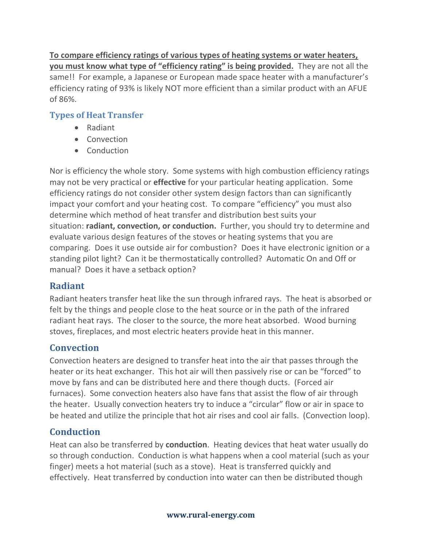**To compare efficiency ratings of various types of heating systems or water heaters, you must know what type of "efficiency rating" is being provided.** They are not all the same!! For example, a Japanese or European made space heater with a manufacturer's efficiency rating of 93% is likely NOT more efficient than a similar product with an AFUE of 86%.

### **Types of Heat Transfer**

- Radiant
- Convection
- Conduction

Nor is efficiency the whole story. Some systems with high combustion efficiency ratings may not be very practical or **effective** for your particular heating application. Some efficiency ratings do not consider other system design factors than can significantly impact your comfort and your heating cost. To compare "efficiency" you must also determine which method of heat transfer and distribution best suits your situation: **radiant, convection, or conduction.** Further, you should try to determine and evaluate various design features of the stoves or heating systems that you are comparing. Does it use outside air for combustion? Does it have electronic ignition or a standing pilot light? Can it be thermostatically controlled? Automatic On and Off or manual? Does it have a setback option?

# **Radiant**

Radiant heaters transfer heat like the sun through infrared rays. The heat is absorbed or felt by the things and people close to the heat source or in the path of the infrared radiant heat rays. The closer to the source, the more heat absorbed. Wood burning stoves, fireplaces, and most electric heaters provide heat in this manner.

# **Convection**

Convection heaters are designed to transfer heat into the air that passes through the heater or its heat exchanger. This hot air will then passively rise or can be "forced" to move by fans and can be distributed here and there though ducts. (Forced air furnaces). Some convection heaters also have fans that assist the flow of air through the heater. Usually convection heaters try to induce a "circular" flow or air in space to be heated and utilize the principle that hot air rises and cool air falls. (Convection loop).

# **Conduction**

Heat can also be transferred by **conduction**. Heating devices that heat water usually do so through conduction. Conduction is what happens when a cool material (such as your finger) meets a hot material (such as a stove). Heat is transferred quickly and effectively. Heat transferred by conduction into water can then be distributed though